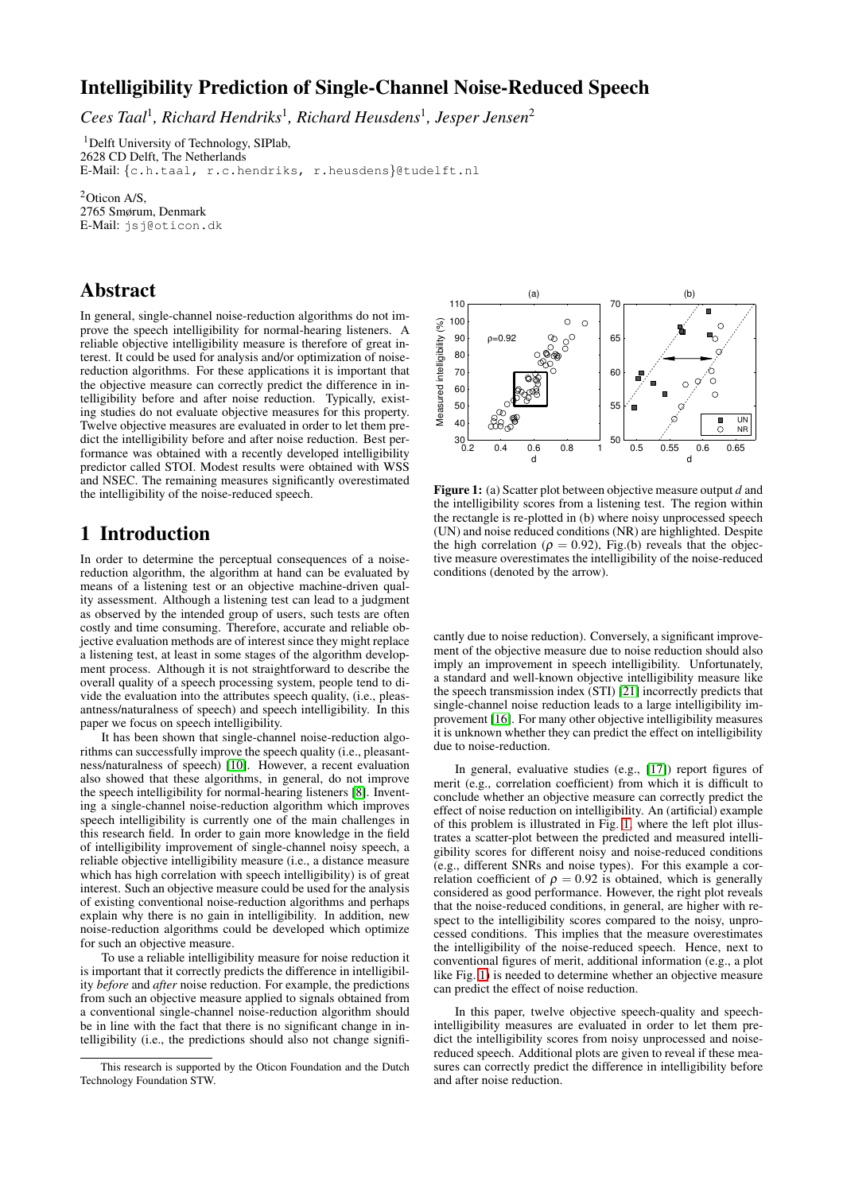# **Intelligibility Prediction of Single-Channel Noise-Reduced Speech**

*Cees Taal*<sup>1</sup> *, Richard Hendriks*<sup>1</sup> *, Richard Heusdens*<sup>1</sup> *, Jesper Jensen*<sup>2</sup>

<sup>1</sup>Delft University of Technology, SIPlab, 2628 CD Delft, The Netherlands E-Mail: {c.h.taal, r.c.hendriks, r.heusdens}@tudelft.nl

<sup>2</sup>Oticon A/S, 2765 Smørum, Denmark E-Mail: jsj@oticon.dk

### **Abstract**

In general, single-channel noise-reduction algorithms do not improve the speech intelligibility for normal-hearing listeners. A reliable objective intelligibility measure is therefore of great interest. It could be used for analysis and/or optimization of noisereduction algorithms. For these applications it is important that the objective measure can correctly predict the difference in intelligibility before and after noise reduction. Typically, existing studies do not evaluate objective measures for this property. Twelve objective measures are evaluated in order to let them predict the intelligibility before and after noise reduction. Best performance was obtained with a recently developed intelligibility predictor called STOI. Modest results were obtained with WSS and NSEC. The remaining measures significantly overestimated the intelligibility of the noise-reduced speech.

# **1 Introduction**

In order to determine the perceptual consequences of a noisereduction algorithm, the algorithm at hand can be evaluated by means of a listening test or an objective machine-driven quality assessment. Although a listening test can lead to a judgment as observed by the intended group of users, such tests are often costly and time consuming. Therefore, accurate and reliable objective evaluation methods are of interest since they might replace a listening test, at least in some stages of the algorithm development process. Although it is not straightforward to describe the overall quality of a speech processing system, people tend to divide the evaluation into the attributes speech quality, (i.e., pleasantness/naturalness of speech) and speech intelligibility. In this paper we focus on speech intelligibility.

It has been shown that single-channel noise-reduction algorithms can successfully improve the speech quality (i.e., pleasantness/naturalness of speech) [\[10\]](#page-3-0). However, a recent evaluation also showed that these algorithms, in general, do not improve the speech intelligibility for normal-hearing listeners [\[8\]](#page-3-1). Inventing a single-channel noise-reduction algorithm which improves speech intelligibility is currently one of the main challenges in this research field. In order to gain more knowledge in the field of intelligibility improvement of single-channel noisy speech, a reliable objective intelligibility measure (i.e., a distance measure which has high correlation with speech intelligibility) is of great interest. Such an objective measure could be used for the analysis of existing conventional noise-reduction algorithms and perhaps explain why there is no gain in intelligibility. In addition, new noise-reduction algorithms could be developed which optimize for such an objective measure.

To use a reliable intelligibility measure for noise reduction it is important that it correctly predicts the difference in intelligibility *before* and *after* noise reduction. For example, the predictions from such an objective measure applied to signals obtained from a conventional single-channel noise-reduction algorithm should be in line with the fact that there is no significant change in intelligibility (i.e., the predictions should also not change signifi-



<span id="page-0-0"></span>**Figure 1:** (a) Scatter plot between objective measure output *d* and the intelligibility scores from a listening test. The region within the rectangle is re-plotted in (b) where noisy unprocessed speech (UN) and noise reduced conditions (NR) are highlighted. Despite the high correlation ( $\rho = 0.92$ ), Fig.(b) reveals that the objective measure overestimates the intelligibility of the noise-reduced conditions (denoted by the arrow).

cantly due to noise reduction). Conversely, a significant improvement of the objective measure due to noise reduction should also imply an improvement in speech intelligibility. Unfortunately, a standard and well-known objective intelligibility measure like the speech transmission index (STI) [\[21\]](#page-3-2) incorrectly predicts that single-channel noise reduction leads to a large intelligibility improvement [\[16\]](#page-3-3). For many other objective intelligibility measures it is unknown whether they can predict the effect on intelligibility due to noise-reduction.

In general, evaluative studies (e.g., [\[17\]](#page-3-4)) report figures of merit (e.g., correlation coefficient) from which it is difficult to conclude whether an objective measure can correctly predict the effect of noise reduction on intelligibility. An (artificial) example of this problem is illustrated in Fig. [1,](#page-0-0) where the left plot illustrates a scatter-plot between the predicted and measured intelligibility scores for different noisy and noise-reduced conditions (e.g., different SNRs and noise types). For this example a correlation coefficient of  $\rho = 0.92$  is obtained, which is generally considered as good performance. However, the right plot reveals that the noise-reduced conditions, in general, are higher with respect to the intelligibility scores compared to the noisy, unprocessed conditions. This implies that the measure overestimates the intelligibility of the noise-reduced speech. Hence, next to conventional figures of merit, additional information (e.g., a plot like Fig. [1\)](#page-0-0) is needed to determine whether an objective measure can predict the effect of noise reduction.

In this paper, twelve objective speech-quality and speechintelligibility measures are evaluated in order to let them predict the intelligibility scores from noisy unprocessed and noisereduced speech. Additional plots are given to reveal if these measures can correctly predict the difference in intelligibility before and after noise reduction.

This research is supported by the Oticon Foundation and the Dutch Technology Foundation STW.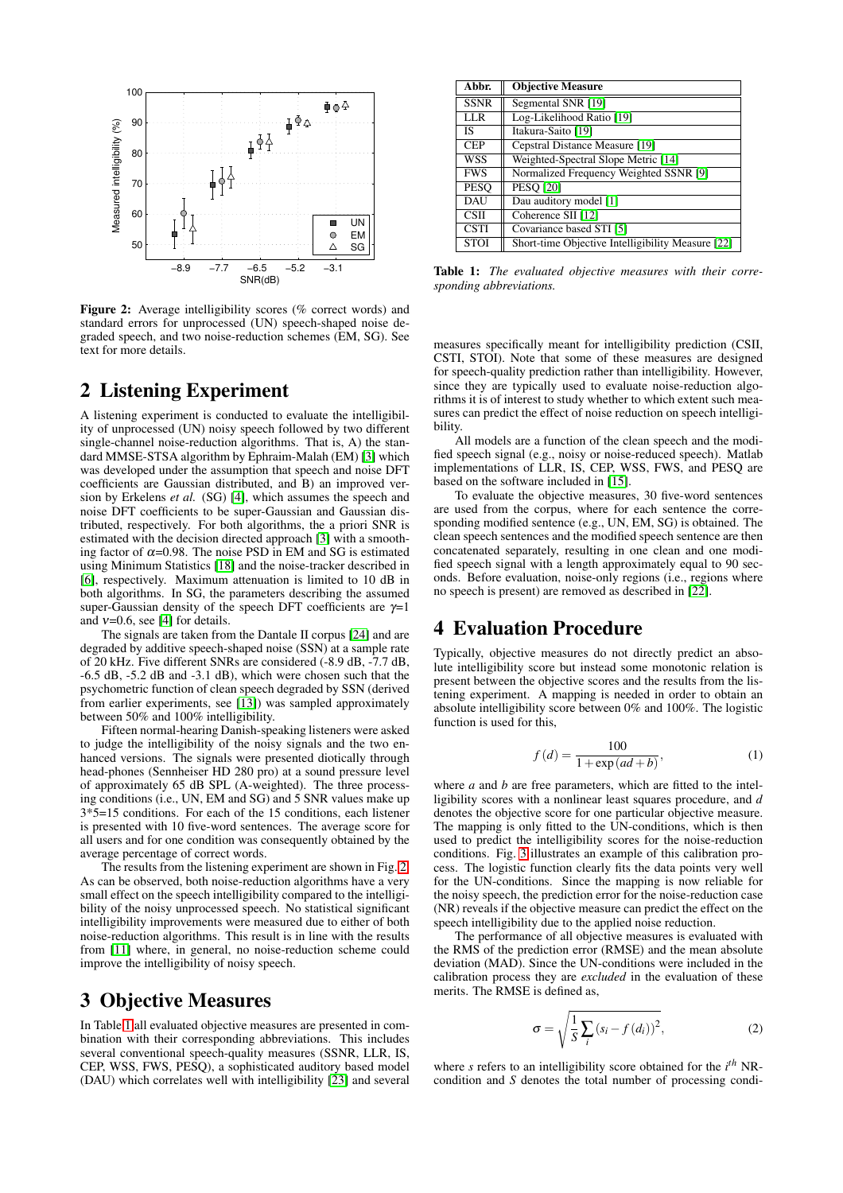

<span id="page-1-0"></span>**Figure 2:** Average intelligibility scores (% correct words) and standard errors for unprocessed (UN) speech-shaped noise degraded speech, and two noise-reduction schemes (EM, SG). See text for more details.

### **2 Listening Experiment**

A listening experiment is conducted to evaluate the intelligibility of unprocessed (UN) noisy speech followed by two different single-channel noise-reduction algorithms. That is, A) the standard MMSE-STSA algorithm by Ephraim-Malah (EM) [\[3\]](#page-3-5) which was developed under the assumption that speech and noise DFT coefficients are Gaussian distributed, and B) an improved version by Erkelens *et al.* (SG) [\[4\]](#page-3-6), which assumes the speech and noise DFT coefficients to be super-Gaussian and Gaussian distributed, respectively. For both algorithms, the a priori SNR is estimated with the decision directed approach [\[3\]](#page-3-5) with a smoothing factor of  $\alpha$ =0.98. The noise PSD in EM and SG is estimated using Minimum Statistics [\[18\]](#page-3-7) and the noise-tracker described in [\[6\]](#page-3-8), respectively. Maximum attenuation is limited to 10 dB in both algorithms. In SG, the parameters describing the assumed super-Gaussian density of the speech DFT coefficients are  $\gamma=1$ and  $v=0.6$ , see [\[4\]](#page-3-6) for details.

The signals are taken from the Dantale II corpus [\[24\]](#page-3-9) and are degraded by additive speech-shaped noise (SSN) at a sample rate of 20 kHz. Five different SNRs are considered (-8.9 dB, -7.7 dB, -6.5 dB, -5.2 dB and -3.1 dB), which were chosen such that the psychometric function of clean speech degraded by SSN (derived from earlier experiments, see [\[13\]](#page-3-10)) was sampled approximately between 50% and 100% intelligibility.

Fifteen normal-hearing Danish-speaking listeners were asked to judge the intelligibility of the noisy signals and the two enhanced versions. The signals were presented diotically through head-phones (Sennheiser HD 280 pro) at a sound pressure level of approximately 65 dB SPL (A-weighted). The three processing conditions (i.e., UN, EM and SG) and 5 SNR values make up 3\*5=15 conditions. For each of the 15 conditions, each listener is presented with 10 five-word sentences. The average score for all users and for one condition was consequently obtained by the average percentage of correct words.

The results from the listening experiment are shown in Fig. [2.](#page-1-0) As can be observed, both noise-reduction algorithms have a very small effect on the speech intelligibility compared to the intelligibility of the noisy unprocessed speech. No statistical significant intelligibility improvements were measured due to either of both noise-reduction algorithms. This result is in line with the results from [\[11\]](#page-3-11) where, in general, no noise-reduction scheme could improve the intelligibility of noisy speech.

## **3 Objective Measures**

In Table [1](#page-1-1) all evaluated objective measures are presented in combination with their corresponding abbreviations. This includes several conventional speech-quality measures (SSNR, LLR, IS, CEP, WSS, FWS, PESQ), a sophisticated auditory based model (DAU) which correlates well with intelligibility [\[23\]](#page-3-12) and several

| Abbr.       | <b>Objective Measure</b>                          |
|-------------|---------------------------------------------------|
| <b>SSNR</b> | Segmental SNR [19]                                |
| <b>LLR</b>  | Log-Likelihood Ratio [19]                         |
| <b>IS</b>   | Itakura-Saito [19]                                |
| <b>CEP</b>  | Cepstral Distance Measure [19]                    |
| WSS         | Weighted-Spectral Slope Metric [14]               |
| <b>FWS</b>  | Normalized Frequency Weighted SSNR [9]            |
| <b>PESO</b> | <b>PESO [20]</b>                                  |
| DAU         | Dau auditory model [1]                            |
| <b>CSII</b> | Coherence SII [12]                                |
| <b>CSTI</b> | Covariance based STI [5]                          |
| <b>STOI</b> | Short-time Objective Intelligibility Measure [22] |

<span id="page-1-1"></span>**Table 1:** *The evaluated objective measures with their corresponding abbreviations.*

measures specifically meant for intelligibility prediction (CSII, CSTI, STOI). Note that some of these measures are designed for speech-quality prediction rather than intelligibility. However, since they are typically used to evaluate noise-reduction algorithms it is of interest to study whether to which extent such measures can predict the effect of noise reduction on speech intelligibility.

All models are a function of the clean speech and the modified speech signal (e.g., noisy or noise-reduced speech). Matlab implementations of LLR, IS, CEP, WSS, FWS, and PESQ are based on the software included in [\[15\]](#page-3-20).

To evaluate the objective measures, 30 five-word sentences are used from the corpus, where for each sentence the corresponding modified sentence (e.g., UN, EM, SG) is obtained. The clean speech sentences and the modified speech sentence are then concatenated separately, resulting in one clean and one modified speech signal with a length approximately equal to 90 seconds. Before evaluation, noise-only regions (i.e., regions where no speech is present) are removed as described in [\[22\]](#page-3-19).

### **4 Evaluation Procedure**

Typically, objective measures do not directly predict an absolute intelligibility score but instead some monotonic relation is present between the objective scores and the results from the listening experiment. A mapping is needed in order to obtain an absolute intelligibility score between 0% and 100%. The logistic function is used for this,

$$
f(d) = \frac{100}{1 + \exp(ad + b)},\tag{1}
$$

where *a* and *b* are free parameters, which are fitted to the intelligibility scores with a nonlinear least squares procedure, and *d* denotes the objective score for one particular objective measure. The mapping is only fitted to the UN-conditions, which is then used to predict the intelligibility scores for the noise-reduction conditions. Fig. [3](#page-2-1) illustrates an example of this calibration process. The logistic function clearly fits the data points very well for the UN-conditions. Since the mapping is now reliable for the noisy speech, the prediction error for the noise-reduction case (NR) reveals if the objective measure can predict the effect on the speech intelligibility due to the applied noise reduction.

The performance of all objective measures is evaluated with the RMS of the prediction error (RMSE) and the mean absolute deviation (MAD). Since the UN-conditions were included in the calibration process they are *excluded* in the evaluation of these merits. The RMSE is defined as,

$$
\sigma = \sqrt{\frac{1}{S} \sum_{i} (s_i - f(d_i))^2},
$$
\n(2)

where *s* refers to an intelligibility score obtained for the *i th* NRcondition and *S* denotes the total number of processing condi-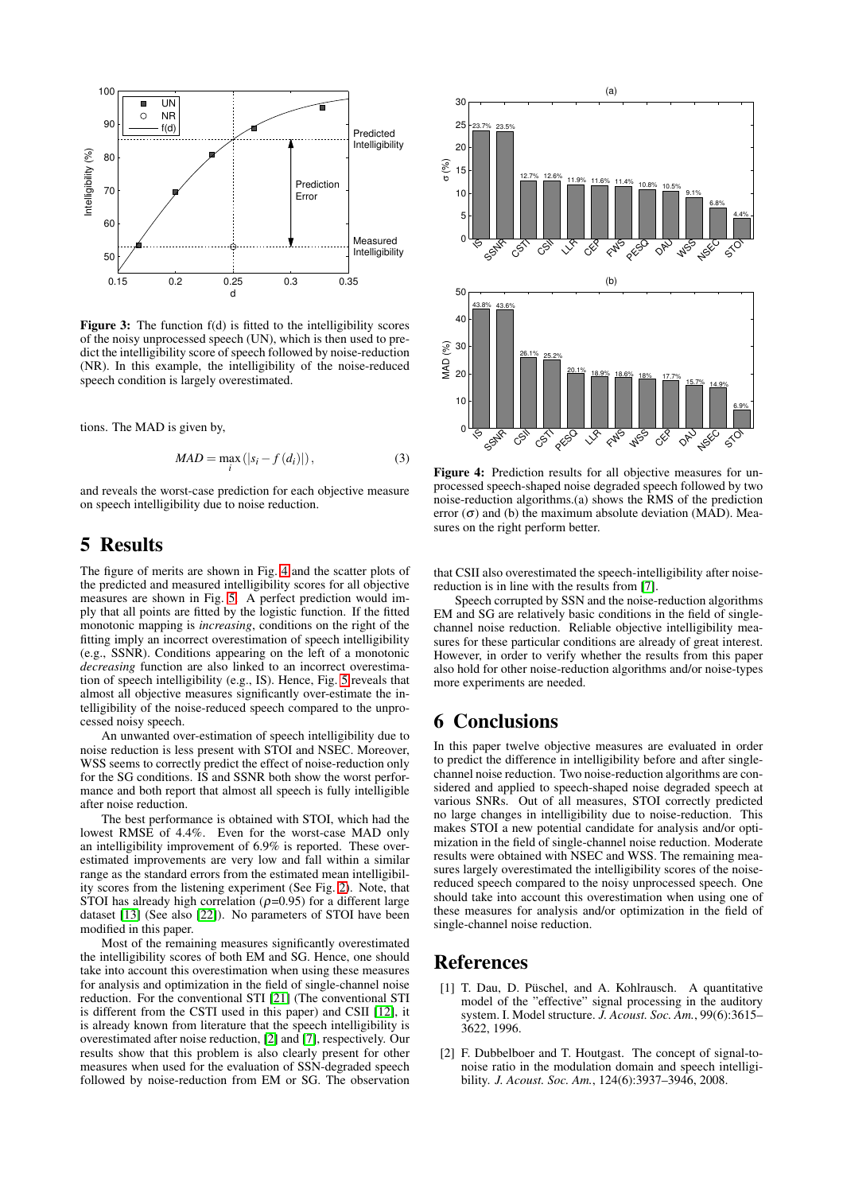

<span id="page-2-1"></span>Figure 3: The function  $f(d)$  is fitted to the intelligibility scores of the noisy unprocessed speech (UN), which is then used to predict the intelligibility score of speech followed by noise-reduction (NR). In this example, the intelligibility of the noise-reduced speech condition is largely overestimated.

tions. The MAD is given by,

$$
MAD = \max_{i} (|s_i - f(d_i)|), \qquad (3)
$$

and reveals the worst-case prediction for each objective measure on speech intelligibility due to noise reduction.

### **5 Results**

The figure of merits are shown in Fig. [4](#page-2-2) and the scatter plots of the predicted and measured intelligibility scores for all objective measures are shown in Fig. [5.](#page-3-21) A perfect prediction would imply that all points are fitted by the logistic function. If the fitted monotonic mapping is *increasing*, conditions on the right of the fitting imply an incorrect overestimation of speech intelligibility (e.g., SSNR). Conditions appearing on the left of a monotonic *decreasing* function are also linked to an incorrect overestimation of speech intelligibility (e.g., IS). Hence, Fig. [5](#page-3-21) reveals that almost all objective measures significantly over-estimate the intelligibility of the noise-reduced speech compared to the unprocessed noisy speech.

An unwanted over-estimation of speech intelligibility due to noise reduction is less present with STOI and NSEC. Moreover, WSS seems to correctly predict the effect of noise-reduction only for the SG conditions. IS and SSNR both show the worst performance and both report that almost all speech is fully intelligible after noise reduction.

The best performance is obtained with STOI, which had the lowest RMSE of 4.4%. Even for the worst-case MAD only an intelligibility improvement of 6.9% is reported. These overestimated improvements are very low and fall within a similar range as the standard errors from the estimated mean intelligibility scores from the listening experiment (See Fig. [2\)](#page-1-0). Note, that STOI has already high correlation  $(\rho=0.95)$  for a different large dataset [\[13\]](#page-3-10) (See also [\[22\]](#page-3-19)). No parameters of STOI have been modified in this paper.

Most of the remaining measures significantly overestimated the intelligibility scores of both EM and SG. Hence, one should take into account this overestimation when using these measures for analysis and optimization in the field of single-channel noise reduction. For the conventional STI [\[21\]](#page-3-2) (The conventional STI is different from the CSTI used in this paper) and CSII [\[12\]](#page-3-17), it is already known from literature that the speech intelligibility is overestimated after noise reduction, [\[2\]](#page-2-3) and [\[7\]](#page-3-22), respectively. Our results show that this problem is also clearly present for other measures when used for the evaluation of SSN-degraded speech followed by noise-reduction from EM or SG. The observation



<span id="page-2-2"></span>**Figure 4:** Prediction results for all objective measures for unprocessed speech-shaped noise degraded speech followed by two noise-reduction algorithms.(a) shows the RMS of the prediction error  $(\sigma)$  and (b) the maximum absolute deviation (MAD). Measures on the right perform better.

that CSII also overestimated the speech-intelligibility after noisereduction is in line with the results from [\[7\]](#page-3-22).

Speech corrupted by SSN and the noise-reduction algorithms EM and SG are relatively basic conditions in the field of singlechannel noise reduction. Reliable objective intelligibility measures for these particular conditions are already of great interest. However, in order to verify whether the results from this paper also hold for other noise-reduction algorithms and/or noise-types more experiments are needed.

### **6 Conclusions**

In this paper twelve objective measures are evaluated in order to predict the difference in intelligibility before and after singlechannel noise reduction. Two noise-reduction algorithms are considered and applied to speech-shaped noise degraded speech at various SNRs. Out of all measures, STOI correctly predicted no large changes in intelligibility due to noise-reduction. This makes STOI a new potential candidate for analysis and/or optimization in the field of single-channel noise reduction. Moderate results were obtained with NSEC and WSS. The remaining measures largely overestimated the intelligibility scores of the noisereduced speech compared to the noisy unprocessed speech. One should take into account this overestimation when using one of these measures for analysis and/or optimization in the field of single-channel noise reduction.

### <span id="page-2-0"></span>**References**

- [1] T. Dau, D. Püschel, and A. Kohlrausch. A quantitative model of the "effective" signal processing in the auditory system. I. Model structure. *J. Acoust. Soc. Am.*, 99(6):3615– 3622, 1996.
- <span id="page-2-3"></span>[2] F. Dubbelboer and T. Houtgast. The concept of signal-tonoise ratio in the modulation domain and speech intelligibility. *J. Acoust. Soc. Am.*, 124(6):3937–3946, 2008.